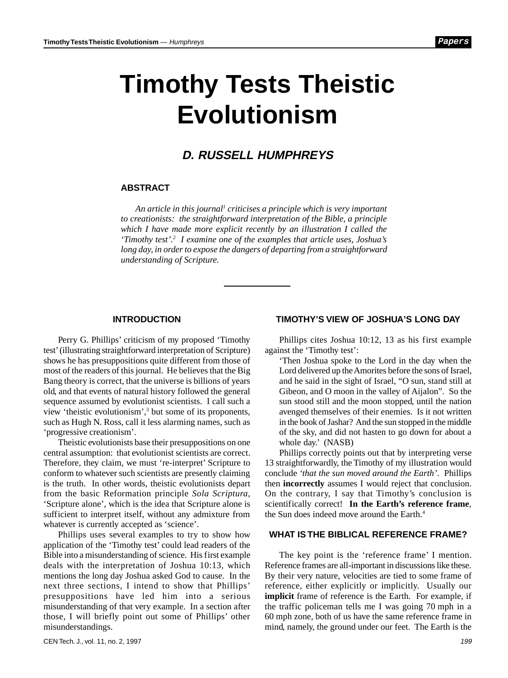Papers

# **Timothy Tests Theistic Evolutionism**

# **D. RUSSELL HUMPHREYS**

#### **ABSTRACT**

*An article in this journal1 criticises a principle which is very important to creationists: the straightforward interpretation of the Bible, a principle which I have made more explicit recently by an illustration I called the 'Timothy test'.2 I examine one of the examples that article uses, Joshua's long day, in order to expose the dangers of departing from a straightforward understanding of Scripture.*

#### **INTRODUCTION**

Perry G. Phillips' criticism of my proposed 'Timothy test' (illustrating straightforward interpretation of Scripture) shows he has presuppositions quite different from those of most of the readers of this journal. He believes that the Big Bang theory is correct, that the universe is billions of years old, and that events of natural history followed the general sequence assumed by evolutionist scientists. I call such a view 'theistic evolutionism',3 but some of its proponents, such as Hugh N. Ross, call it less alarming names, such as 'progressive creationism'.

Theistic evolutionists base their presuppositions on one central assumption: that evolutionist scientists are correct. Therefore, they claim, we must 're-interpret' Scripture to conform to whatever such scientists are presently claiming is the truth. In other words, theistic evolutionists depart from the basic Reformation principle *Sola Scriptura*, 'Scripture alone', which is the idea that Scripture alone is sufficient to interpret itself, without any admixture from whatever is currently accepted as 'science'.

Phillips uses several examples to try to show how application of the 'Timothy test' could lead readers of the Bible into a misunderstanding of science. His first example deals with the interpretation of Joshua 10:13, which mentions the long day Joshua asked God to cause. In the next three sections, I intend to show that Phillips' presuppositions have led him into a serious misunderstanding of that very example. In a section after those, I will briefly point out some of Phillips' other misunderstandings.

#### **TIMOTHY'S VIEW OF JOSHUA'S LONG DAY**

Phillips cites Joshua 10:12, 13 as his first example against the 'Timothy test':

'Then Joshua spoke to the Lord in the day when the Lord delivered up the Amorites before the sons of Israel, and he said in the sight of Israel, "O sun, stand still at Gibeon, and O moon in the valley of Aijalon". So the sun stood still and the moon stopped, until the nation avenged themselves of their enemies. Is it not written in the book of Jashar? And the sun stopped in the middle of the sky, and did not hasten to go down for about a whole day.' (NASB)

Phillips correctly points out that by interpreting verse 13 straightforwardly, the Timothy of my illustration would conclude *'that the sun moved around the Earth'*. Phillips then **incorrectly** assumes I would reject that conclusion. On the contrary, I say that Timothy's conclusion is scientifically correct! **In the Earth's reference frame**, the Sun does indeed move around the Earth.<sup>4</sup>

### **WHAT IS THE BIBLICAL REFERENCE FRAME?**

The key point is the 'reference frame' I mention. Reference frames are all-important in discussions like these. By their very nature, velocities are tied to some frame of reference, either explicitly or implicitly. Usually our **implicit** frame of reference is the Earth. For example, if the traffic policeman tells me I was going 70 mph in a 60 mph zone, both of us have the same reference frame in mind, namely, the ground under our feet. The Earth is the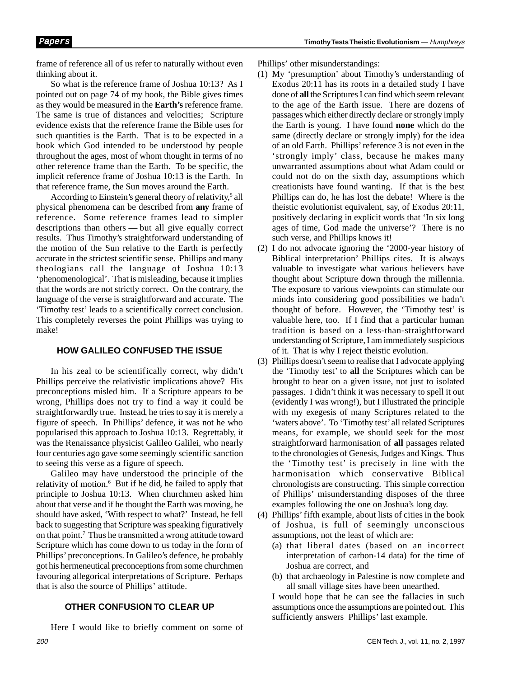frame of reference all of us refer to naturally without even thinking about it.

So what is the reference frame of Joshua 10:13? As I pointed out on page 74 of my book, the Bible gives times as they would be measured in the **Earth's** reference frame. The same is true of distances and velocities; Scripture evidence exists that the reference frame the Bible uses for such quantities is the Earth. That is to be expected in a book which God intended to be understood by people throughout the ages, most of whom thought in terms of no other reference frame than the Earth. To be specific, the implicit reference frame of Joshua 10:13 is the Earth. In that reference frame, the Sun moves around the Earth.

According to Einstein's general theory of relativity,<sup>5</sup> all physical phenomena can be described from **any** frame of reference. Some reference frames lead to simpler descriptions than others — but all give equally correct results. Thus Timothy's straightforward understanding of the motion of the Sun relative to the Earth is perfectly accurate in the strictest scientific sense. Phillips and many theologians call the language of Joshua 10:13 'phenomenological'. That is misleading, because it implies that the words are not strictly correct. On the contrary, the language of the verse is straightforward and accurate. The 'Timothy test' leads to a scientifically correct conclusion. This completely reverses the point Phillips was trying to make!

# **HOW GALILEO CONFUSED THE ISSUE**

In his zeal to be scientifically correct, why didn't Phillips perceive the relativistic implications above? His preconceptions misled him. If a Scripture appears to be wrong, Phillips does not try to find a way it could be straightforwardly true. Instead, he tries to say it is merely a figure of speech. In Phillips' defence, it was not he who popularised this approach to Joshua 10:13. Regrettably, it was the Renaissance physicist Galileo Galilei, who nearly four centuries ago gave some seemingly scientific sanction to seeing this verse as a figure of speech.

Galileo may have understood the principle of the relativity of motion.<sup>6</sup> But if he did, he failed to apply that principle to Joshua 10:13. When churchmen asked him about that verse and if he thought the Earth was moving, he should have asked, 'With respect to what?' Instead, he fell back to suggesting that Scripture was speaking figuratively on that point.<sup>7</sup> Thus he transmitted a wrong attitude toward Scripture which has come down to us today in the form of Phillips' preconceptions. In Galileo's defence, he probably got his hermeneutical preconceptions from some churchmen favouring allegorical interpretations of Scripture. Perhaps that is also the source of Phillips' attitude.

# **OTHER CONFUSION TO CLEAR UP**

Here I would like to briefly comment on some of

Phillips' other misunderstandings:

- (1) My 'presumption' about Timothy's understanding of Exodus 20:11 has its roots in a detailed study I have done of **all** the Scriptures I can find which seem relevant to the age of the Earth issue. There are dozens of passages which either directly declare or strongly imply the Earth is young. I have found **none** which do the same (directly declare or strongly imply) for the idea of an old Earth. Phillips' reference 3 is not even in the 'strongly imply' class, because he makes many unwarranted assumptions about what Adam could or could not do on the sixth day, assumptions which creationists have found wanting. If that is the best Phillips can do, he has lost the debate! Where is the theistic evolutionist equivalent, say, of Exodus 20:11, positively declaring in explicit words that 'In six long ages of time, God made the universe'? There is no such verse, and Phillips knows it!
- (2) I do not advocate ignoring the '2000-year history of Biblical interpretation' Phillips cites. It is always valuable to investigate what various believers have thought about Scripture down through the millennia. The exposure to various viewpoints can stimulate our minds into considering good possibilities we hadn't thought of before. However, the 'Timothy test' is valuable here, too. If I find that a particular human tradition is based on a less-than-straightforward understanding of Scripture, I am immediately suspicious of it. That is why I reject theistic evolution.
- (3) Phillips doesn't seem to realise that I advocate applying the 'Timothy test' to **all** the Scriptures which can be brought to bear on a given issue, not just to isolated passages. I didn't think it was necessary to spell it out (evidently I was wrong!), but I illustrated the principle with my exegesis of many Scriptures related to the 'waters above'. To 'Timothy test' all related Scriptures means, for example, we should seek for the most straightforward harmonisation of **all** passages related to the chronologies of Genesis, Judges and Kings. Thus the 'Timothy test' is precisely in line with the harmonisation which conservative Biblical chronologists are constructing. This simple correction of Phillips' misunderstanding disposes of the three examples following the one on Joshua's long day.
- (4) Phillips' fifth example, about lists of cities in the book of Joshua, is full of seemingly unconscious assumptions, not the least of which are:
	- (a) that liberal dates (based on an incorrect interpretation of carbon-14 data) for the time of Joshua are correct, and
	- (b) that archaeology in Palestine is now complete and all small village sites have been unearthed.

I would hope that he can see the fallacies in such assumptions once the assumptions are pointed out. This sufficiently answers Phillips' last example.